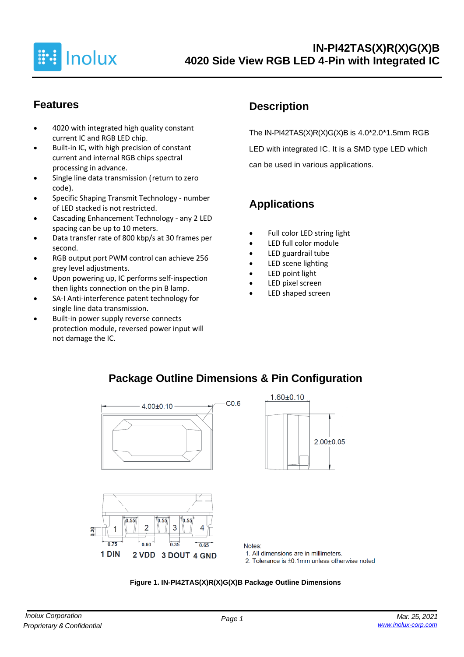

## **Features**

- 4020 with integrated high quality constant current IC and RGB LED chip.
- Built-in IC, with high precision of constant current and internal RGB chips spectral processing in advance.
- Single line data transmission (return to zero code).
- Specific Shaping Transmit Technology number of LED stacked is not restricted.
- Cascading Enhancement Technology any 2 LED spacing can be up to 10 meters.
- Data transfer rate of 800 kbp/s at 30 frames per second.
- RGB output port PWM control can achieve 256 grey level adjustments.
- Upon powering up, IC performs self-inspection then lights connection on the pin B lamp.
- SA-I Anti-interference patent technology for single line data transmission.
- Built-in power supply reverse connects protection module, reversed power input will not damage the IC.

## **Description**

The IN-PI42TAS(X)R(X)G(X)B is 4.0\*2.0\*1.5mm RGB LED with integrated IC. It is a SMD type LED which can be used in various applications.

# **Applications**

- Full color LED string light
- LED full color module
- LED guardrail tube
- LED scene lighting
- LED point light
- LED pixel screen
- LED shaped screen





1. All dimensions are in millimeters.

2. Tolerance is  $\pm 0.1$ mm unless otherwise noted

 $2.00+0.05$ 

#### **Figure 1. IN-PI42TAS(X)R(X)G(X)B Package Outline Dimensions**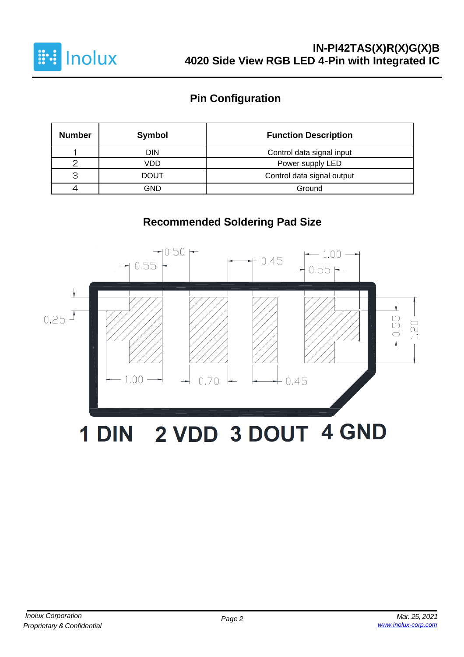

## **Pin Configuration**

| <b>Number</b> | Symbol                                    | <b>Function Description</b> |  |  |
|---------------|-------------------------------------------|-----------------------------|--|--|
|               | DIN                                       | Control data signal input   |  |  |
|               | VDD                                       | Power supply LED            |  |  |
| З             | Control data signal output<br><b>DOUT</b> |                             |  |  |
|               | GND                                       | Ground                      |  |  |

# **Recommended Soldering Pad Size**

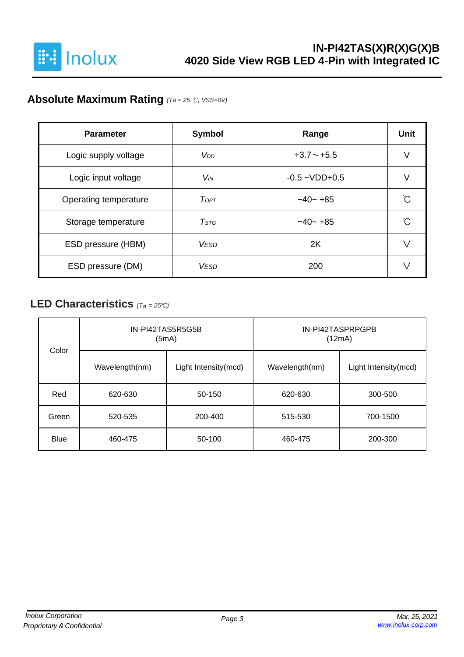

## **Absolute Maximum Rating** *(Ta = 25* ℃*, VSS=0V)*

| <b>Parameter</b>      | <b>Symbol</b>         | Range              | <b>Unit</b> |
|-----------------------|-----------------------|--------------------|-------------|
| Logic supply voltage  | V <sub>DD</sub>       | $+3.7 \sim +5.5$   | V           |
| Logic input voltage   | <b>V<sub>IN</sub></b> | $-0.5 - VDD + 0.5$ |             |
| Operating temperature | ToPT                  | $-40 - +85$        | ∽           |
| Storage temperature   | $T$ stg               | $-40 - +85$        | °∩          |
| ESD pressure (HBM)    | <b>VESD</b>           | 2K                 |             |
| ESD pressure (DM)     | <b>VESD</b>           | 200                |             |

### **LED Characteristics** *(Ta <sup>=</sup> 25°C)*

| Color       |                    | IN-PI42TAS5R5G5B<br>(5mA) | IN-PI42TASPRPGPB<br>(12mA) |                      |  |  |
|-------------|--------------------|---------------------------|----------------------------|----------------------|--|--|
|             | Wavelength(nm)     | Light Intensity(mcd)      | Wavelength(nm)             | Light Intensity(mcd) |  |  |
| Red         | 620-630            | 50-150                    | 620-630                    | 300-500              |  |  |
| Green       | 200-400<br>520-535 |                           | 515-530                    | 700-1500             |  |  |
| <b>Blue</b> | 460-475<br>50-100  |                           | 460-475                    | 200-300              |  |  |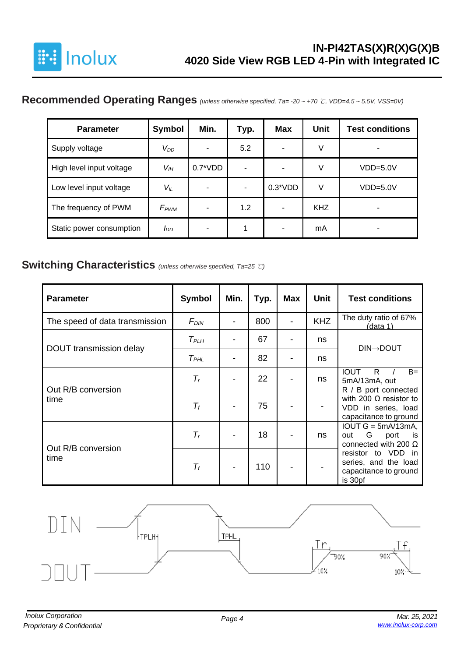

## **Recommended Operating Ranges** *(unless otherwise specified, Ta= -20 ~ +70* ℃*, VDD=4.5 ~ 5.5V, VSS=0V)*

| <b>Parameter</b>         | Symbol           | Min.       | Typ. | <b>Max</b>               | <b>Unit</b> | <b>Test conditions</b> |
|--------------------------|------------------|------------|------|--------------------------|-------------|------------------------|
| Supply voltage           | $V_{DD}$         | ۰          | 5.2  | $\overline{\phantom{0}}$ | V           |                        |
| High level input voltage | $V_{I\!H}$       | $0.7^*VDD$ |      | $\overline{\phantom{0}}$ | V           | $VDD=5.0V$             |
| Low level input voltage  | $V_{IL}$         | ۰          |      | $0.3*VDD$                | V           | $VDD=5.0V$             |
| The frequency of PWM     | F <sub>PWM</sub> | ۰          | 1.2  | $\blacksquare$           | <b>KHZ</b>  | ٠                      |
| Static power consumption | סמ               |            | 1    |                          | mA          |                        |

#### **Switching Characteristics** *(unless otherwise specified, Ta=25* ℃*)*

| <b>Parameter</b>               | Symbol           | Min. | Typ. | <b>Max</b> | <b>Unit</b> | <b>Test conditions</b>                                                             |
|--------------------------------|------------------|------|------|------------|-------------|------------------------------------------------------------------------------------|
| The speed of data transmission | F <sub>DIN</sub> |      | 800  |            | <b>KHZ</b>  | The duty ratio of 67%<br>(data 1)                                                  |
|                                | $T_{PLH}$        |      | 67   |            | ns          |                                                                                    |
| DOUT transmission delay        | $T_{PHL}$        |      | 82   |            | ns          | <b>DIN→DOUT</b>                                                                    |
| Out R/B conversion             | $T_r$            |      | 22   |            | ns          | $B=$<br><b>IOUT</b><br>R.<br>5mA/13mA, out<br>R / B port connected                 |
| time                           | $\mathcal{T}_f$  |      | 75   |            |             | with 200 $\Omega$ resistor to<br>VDD in series, load<br>capacitance to ground      |
| Out R/B conversion             | $T_r$            |      | 18   |            | ns          | $IOUT G = 5mA/13mA,$<br>G<br>out<br>port<br>is.<br>connected with 200 $\Omega$     |
| time                           | $T_f$            |      | 110  |            |             | resistor to VDD<br>in.<br>series, and the load<br>capacitance to ground<br>is 30pf |

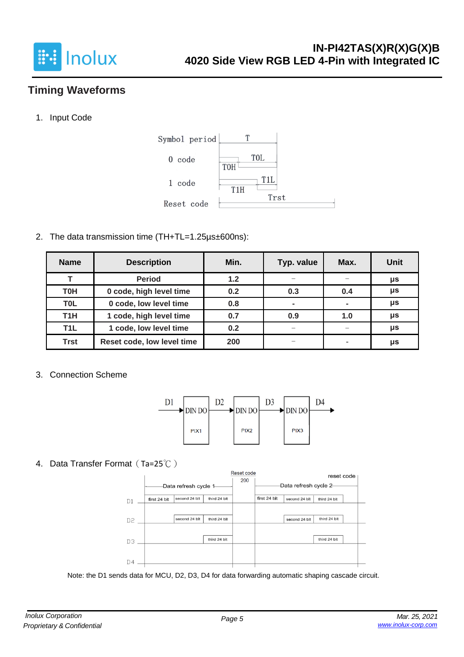

## **Timing Waveforms**

1. Input Code



2. The data transmission time (TH+TL=1.25µs±600ns):

| <b>Name</b>      | <b>Description</b>         | Min. | Typ. value     | Max.                     | <b>Unit</b> |
|------------------|----------------------------|------|----------------|--------------------------|-------------|
|                  | <b>Period</b>              | 1.2  |                |                          | μs          |
| <b>T0H</b>       | 0 code, high level time    | 0.2  | 0.3            | 0.4                      | μs          |
| T <sub>0</sub> L | 0 code, low level time     | 0.8  | $\blacksquare$ | $\blacksquare$           | μs          |
| T <sub>1</sub> H | 1 code, high level time    | 0.7  | 0.9            | 1.0                      | $\mu$ s     |
| T <sub>1</sub> L | 1 code, low level time     | 0.2  |                |                          | μs          |
| <b>Trst</b>      | Reset code, low level time | 200  |                | $\overline{\phantom{a}}$ | μs          |

3. Connection Scheme



4. Data Transfer Format (Ta=25℃)



Note: the D1 sends data for MCU, D2, D3, D4 for data forwarding automatic shaping cascade circuit.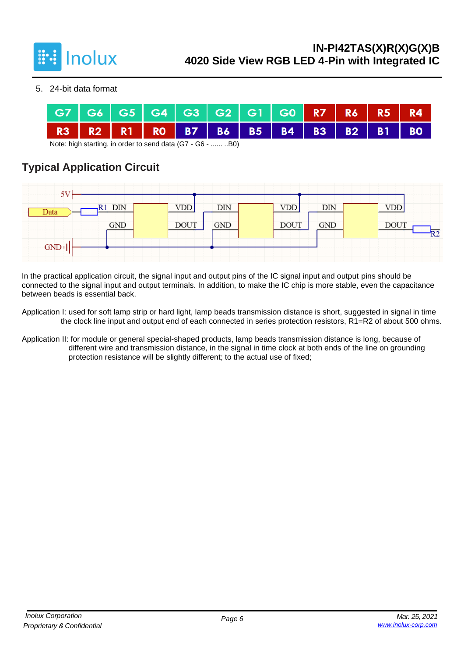

5. 24-bit data format



Note: high starting, in order to send data (G7 - G6 - ...... ..B0)

## **Typical Application Circuit**

| 5V      |            |             |            |             |            |                   |
|---------|------------|-------------|------------|-------------|------------|-------------------|
| Data    | R1 DIN     | VDD         | <b>DIN</b> | <b>VDD</b>  | DIN        | VDD               |
|         | <b>GND</b> | <b>DOUT</b> | GND        | <b>DOUT</b> | <b>GND</b> | <b>DOUT</b><br>R2 |
| $GND +$ |            |             |            |             |            |                   |

In the practical application circuit, the signal input and output pins of the IC signal input and output pins should be connected to the signal input and output terminals. In addition, to make the IC chip is more stable, even the capacitance between beads is essential back.

Application I: used for soft lamp strip or hard light, lamp beads transmission distance is short, suggested in signal in time the clock line input and output end of each connected in series protection resistors, R1=R2 of about 500 ohms.

Application II: for module or general special-shaped products, lamp beads transmission distance is long, because of different wire and transmission distance, in the signal in time clock at both ends of the line on grounding protection resistance will be slightly different; to the actual use of fixed;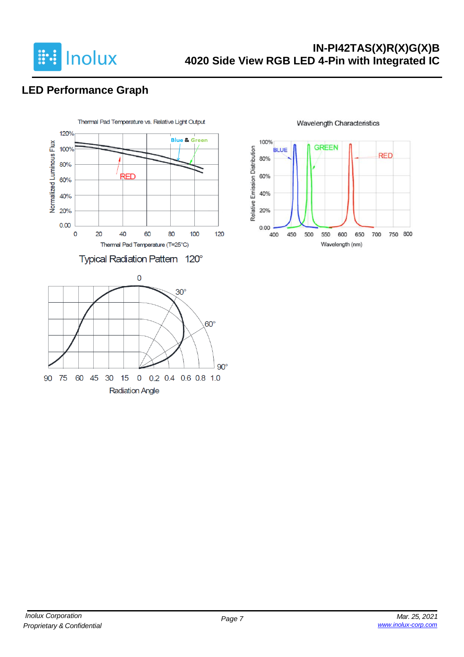

## **LED Performance Graph**



**Wavelength Characteristics** 

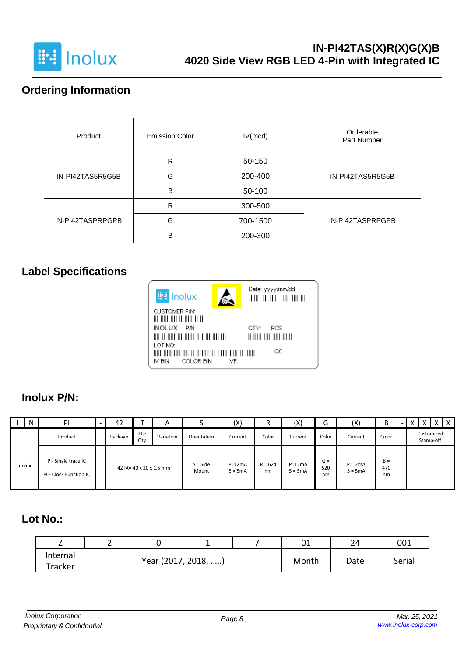

# **Ordering Information**

| Product          | <b>Emission Color</b> | IV(mcd)  | Orderable<br>Part Number |  |  |
|------------------|-----------------------|----------|--------------------------|--|--|
|                  | R                     | 50-150   |                          |  |  |
| IN-PI42TAS5R5G5B | G                     | 200-400  | IN-PI42TAS5R5G5B         |  |  |
|                  | B                     | 50-100   |                          |  |  |
|                  | R                     | 300-500  |                          |  |  |
| IN-PI42TASPRPGPB | G                     | 700-1500 | IN-PI42TASPRPGPB         |  |  |
|                  | B                     | 200-300  |                          |  |  |

# **Label Specifications**



### **Inolux P/N:**

|        | N | PI                                          | 42      |                        | $\mathsf{A}$ |                     | (X)                   | R               | (X)                   | ∽<br>G             | (X)                   | B                  | $\overline{\phantom{0}}$ |           |            | x |
|--------|---|---------------------------------------------|---------|------------------------|--------------|---------------------|-----------------------|-----------------|-----------------------|--------------------|-----------------------|--------------------|--------------------------|-----------|------------|---|
|        |   | Product                                     | Package | Die<br>Qty.            | Variation    | Orientation         | Current               | Color           | Current               | Color              | Current               | Color              |                          | Stamp-off | Customized |   |
| Inolux |   | PI-Single trace IC<br>PC- Clock Function IC |         | 42TA= 40 x 20 x 1.5 mm |              | $S = Side$<br>Mount | $P=12mA$<br>$5 = 5mA$ | $R = 624$<br>nm | $P=12mA$<br>$5 = 5mA$ | $G =$<br>520<br>nm | $P=12mA$<br>$5 = 5mA$ | $B =$<br>470<br>nm |                          |           |            |   |

## **Lot No.:**

|                     |                     |  | 01    | 24   | 001    |
|---------------------|---------------------|--|-------|------|--------|
| Internal<br>Tracker | Year (2017, 2018, ) |  | Month | Date | Serial |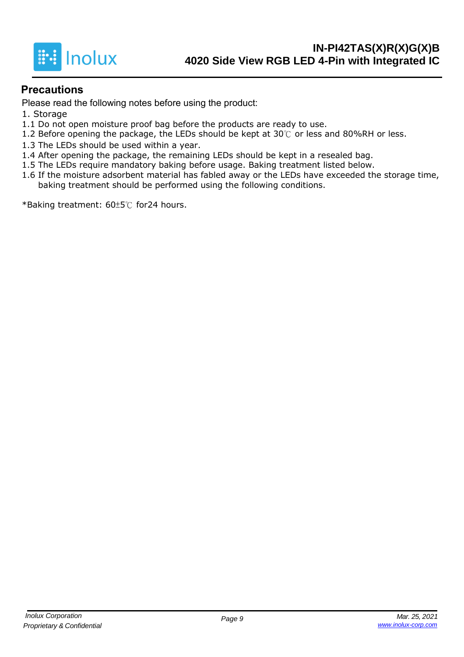

#### **Precautions**

Please read the following notes before using the product:

- 1. Storage
- 1.1 Do not open moisture proof bag before the products are ready to use.
- 1.2 Before opening the package, the LEDs should be kept at 30℃ or less and 80%RH or less.
- 1.3 The LEDs should be used within a year.
- 1.4 After opening the package, the remaining LEDs should be kept in a resealed bag.
- 1.5 The LEDs require mandatory baking before usage. Baking treatment listed below.
- 1.6 If the moisture adsorbent material has fabled away or the LEDs have exceeded the storage time, baking treatment should be performed using the following conditions.

\*Baking treatment: 60±5℃ for24 hours.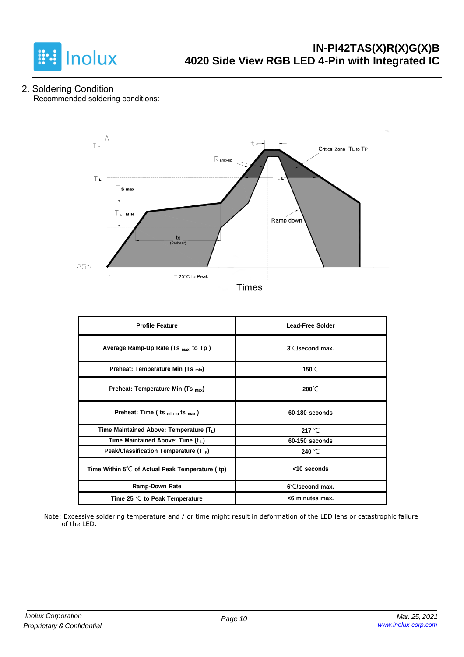

2. Soldering Condition Recommended soldering conditions:



**Times** 

| <b>Profile Feature</b>                                    | <b>Lead-Free Solder</b>   |
|-----------------------------------------------------------|---------------------------|
| Average Ramp-Up Rate (Ts <sub>max</sub> to Tp)            | $3^{\circ}$ C/second max. |
| Preheat: Temperature Min (Ts <sub>min</sub> )             | 150 $\degree$ C           |
| Preheat: Temperature Min (Ts <sub>max</sub> )             | $200^{\circ}$ C           |
| Preheat: Time (ts min to ts max)                          | 60-180 seconds            |
| Time Maintained Above: Temperature (TL)                   | 217 $°C$                  |
| Time Maintained Above: Time (t $_L$ )                     | 60-150 seconds            |
| Peak/Classification Temperature $(T_P)$                   | 240 °C                    |
| Time Within $5^{\circ}$ C of Actual Peak Temperature (tp) | <10 seconds               |
| Ramp-Down Rate                                            | 6°C/second max.           |
| Time 25 $\degree$ C to Peak Temperature                   | <6 minutes max.           |

Note: Excessive soldering temperature and / or time might result in deformation of the LED lens or catastrophic failure of the LED.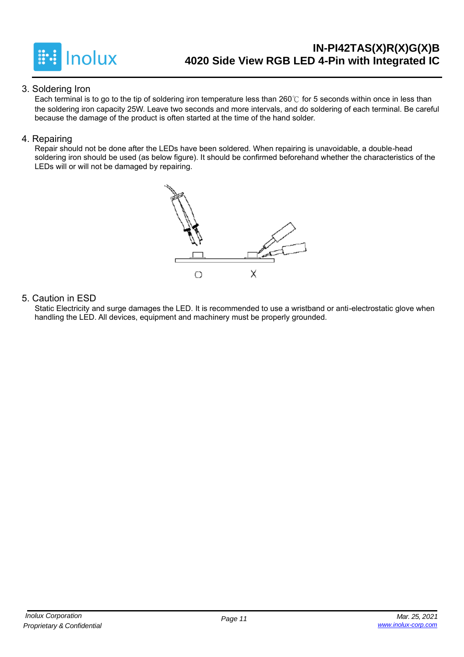

#### 3. Soldering Iron

Each terminal is to go to the tip of soldering iron temperature less than 260℃ for 5 seconds within once in less than the soldering iron capacity 25W. Leave two seconds and more intervals, and do soldering of each terminal. Be careful because the damage of the product is often started at the time of the hand solder.

#### 4. Repairing

Repair should not be done after the LEDs have been soldered. When repairing is unavoidable, a double-head soldering iron should be used (as below figure). It should be confirmed beforehand whether the characteristics of the LEDs will or will not be damaged by repairing.



#### 5. Caution in ESD

Static Electricity and surge damages the LED. It is recommended to use a wristband or anti-electrostatic glove when handling the LED. All devices, equipment and machinery must be properly grounded.